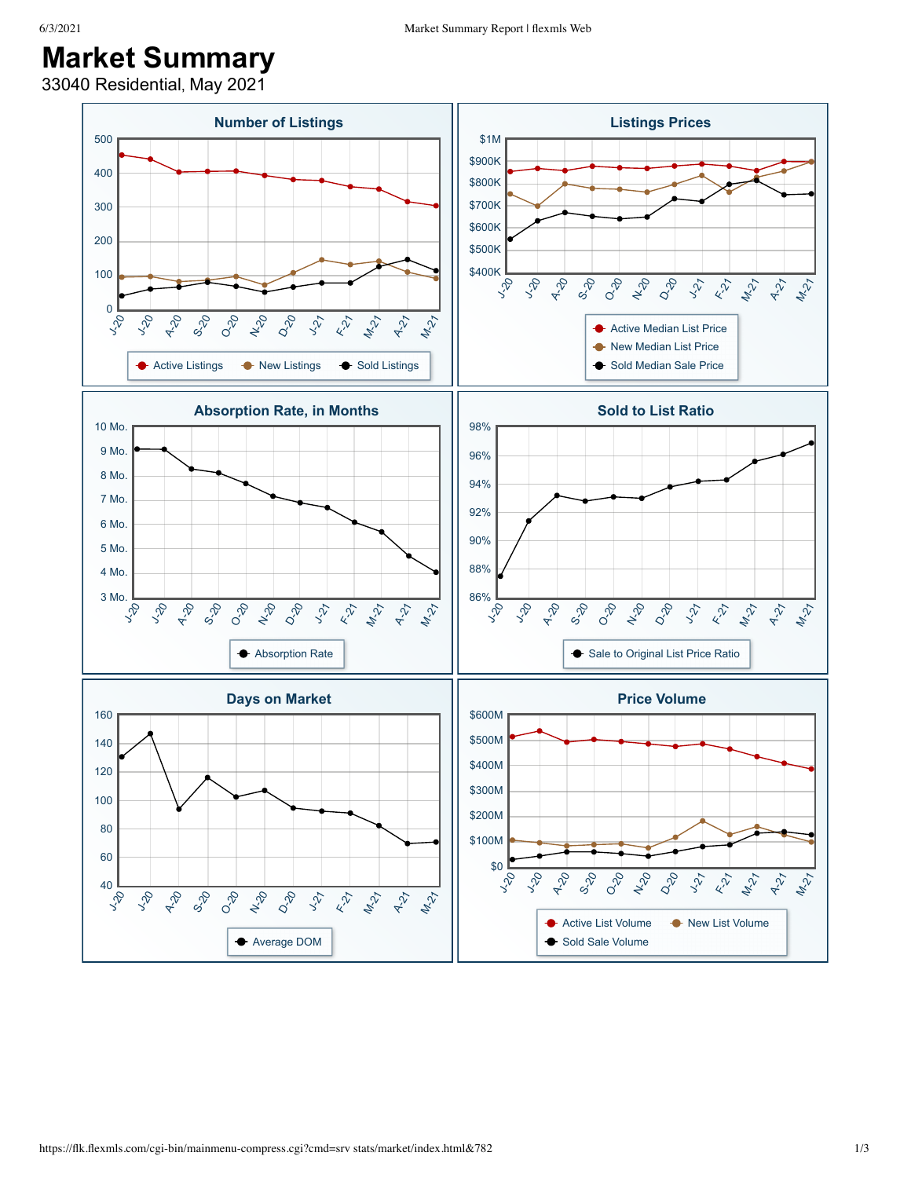33040 Residential, May 2021

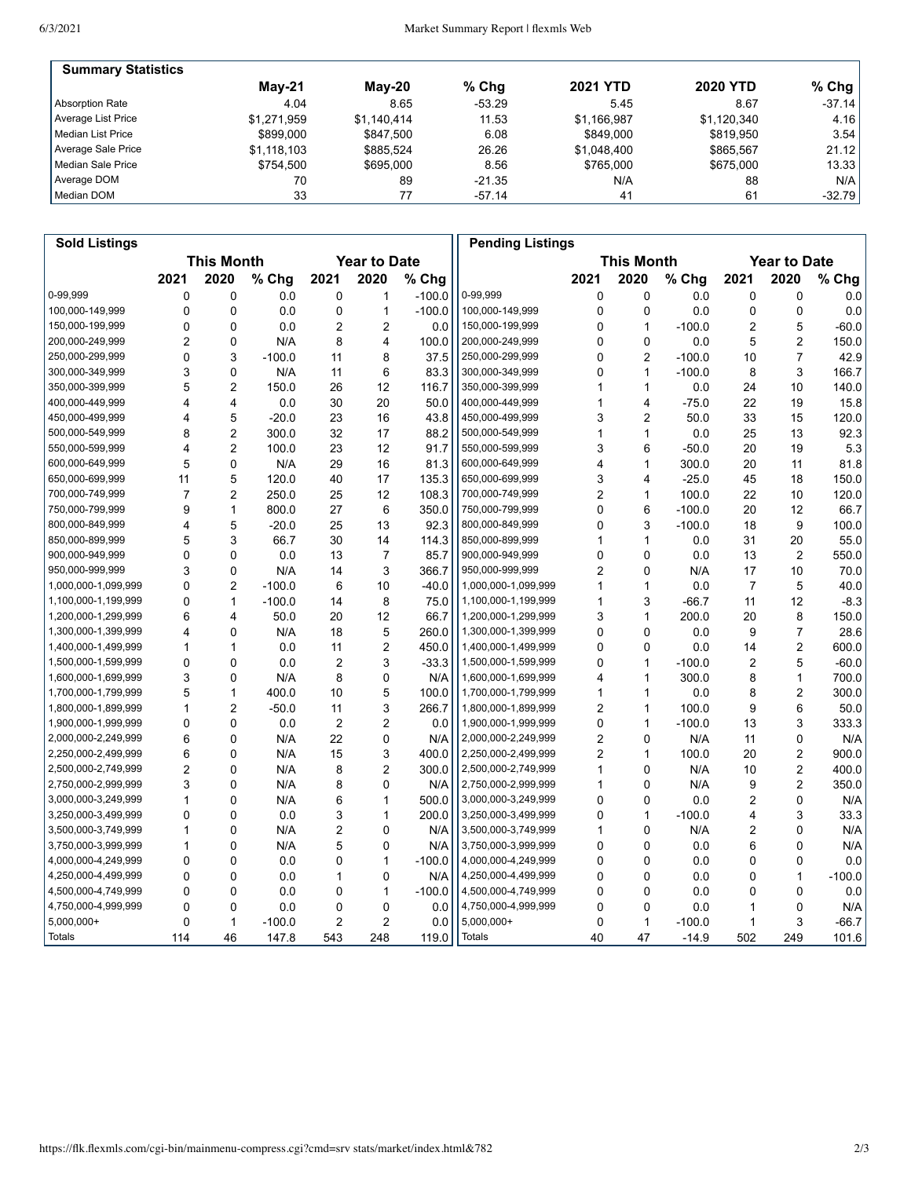| <b>Summary Statistics</b> |               |             |          |                 |                 |           |
|---------------------------|---------------|-------------|----------|-----------------|-----------------|-----------|
|                           | <b>May-21</b> | Mav-20      | $%$ Chg  | <b>2021 YTD</b> | <b>2020 YTD</b> | % Chg $ $ |
| Absorption Rate           | 4.04          | 8.65        | $-53.29$ | 5.45            | 8.67            | $-37.14$  |
| Average List Price        | \$1.271.959   | \$1.140.414 | 11.53    | \$1.166.987     | \$1,120,340     | 4.16      |
| l Median List Price       | \$899,000     | \$847.500   | 6.08     | \$849,000       | \$819.950       | 3.54      |
| Average Sale Price        | \$1.118.103   | \$885.524   | 26.26    | \$1,048,400     | \$865.567       | 21.12     |
| Median Sale Price         | \$754.500     | \$695,000   | 8.56     | \$765,000       | \$675,000       | 13.33     |
| Average DOM               | 70            | 89          | $-21.35$ | N/A             | 88              | N/A       |
| Median DOM                | 33            |             | -57.14   | 41              | 61              | $-32.79$  |

| <b>Sold Listings</b> |                |                   |          |                |                         |          | <b>Pending Listings</b> |                |                   |          |                |                         |          |
|----------------------|----------------|-------------------|----------|----------------|-------------------------|----------|-------------------------|----------------|-------------------|----------|----------------|-------------------------|----------|
|                      |                | <b>This Month</b> |          |                | <b>Year to Date</b>     |          |                         |                | <b>This Month</b> |          |                | <b>Year to Date</b>     |          |
|                      | 2021           | 2020              | % Chg    | 2021           | 2020                    | % Chg    |                         | 2021           | 2020              | % Chg    | 2021           | 2020                    | % Chg    |
| 0-99,999             | 0              | 0                 | 0.0      | 0              | 1                       | $-100.0$ | 0-99,999                | 0              | $\mathbf 0$       | 0.0      | 0              | 0                       | 0.0      |
| 100,000-149,999      | 0              | 0                 | 0.0      | 0              | $\mathbf{1}$            | $-100.0$ | 100,000-149,999         | $\mathbf 0$    | $\mathbf 0$       | 0.0      | 0              | 0                       | 0.0      |
| 150,000-199,999      | 0              | 0                 | 0.0      | $\overline{2}$ | 2                       | 0.0      | 150,000-199,999         | 0              | 1                 | $-100.0$ | 2              | 5                       | $-60.0$  |
| 200,000-249,999      | 2              | 0                 | N/A      | 8              | 4                       | 100.0    | 200,000-249,999         | 0              | $\mathbf 0$       | 0.0      | 5              | 2                       | 150.0    |
| 250,000-299,999      | 0              | 3                 | $-100.0$ | 11             | 8                       | 37.5     | 250,000-299,999         | 0              | $\overline{c}$    | $-100.0$ | 10             | $\overline{7}$          | 42.9     |
| 300,000-349,999      | 3              | $\mathbf{0}$      | N/A      | 11             | 6                       | 83.3     | 300,000-349,999         | 0              | $\mathbf{1}$      | $-100.0$ | 8              | 3                       | 166.7    |
| 350,000-399,999      | 5              | $\overline{2}$    | 150.0    | 26             | 12                      | 116.7    | 350,000-399,999         | 1              | $\mathbf{1}$      | 0.0      | 24             | 10                      | 140.0    |
| 400,000-449,999      | 4              | 4                 | 0.0      | 30             | 20                      | 50.0     | 400,000-449,999         | 1              | $\overline{4}$    | $-75.0$  | 22             | 19                      | 15.8     |
| 450,000-499,999      | 4              | 5                 | $-20.0$  | 23             | 16                      | 43.8     | 450,000-499,999         | 3              | $\overline{2}$    | 50.0     | 33             | 15                      | 120.0    |
| 500,000-549,999      | 8              | $\overline{c}$    | 300.0    | 32             | 17                      | 88.2     | 500,000-549,999         | 1              | $\mathbf{1}$      | 0.0      | 25             | 13                      | 92.3     |
| 550,000-599,999      | 4              | $\overline{2}$    | 100.0    | 23             | 12                      | 91.7     | 550,000-599,999         | 3              | 6                 | $-50.0$  | 20             | 19                      | 5.3      |
| 600,000-649,999      | 5              | 0                 | N/A      | 29             | 16                      | 81.3     | 600,000-649,999         | 4              | $\mathbf{1}$      | 300.0    | 20             | 11                      | 81.8     |
| 650,000-699,999      | 11             | 5                 | 120.0    | 40             | 17                      | 135.3    | 650,000-699,999         | 3              | $\overline{4}$    | $-25.0$  | 45             | 18                      | 150.0    |
| 700,000-749,999      | $\overline{7}$ | $\overline{2}$    | 250.0    | 25             | 12                      | 108.3    | 700,000-749,999         | $\overline{2}$ | $\mathbf{1}$      | 100.0    | 22             | 10                      | 120.0    |
| 750,000-799,999      | 9              | $\mathbf{1}$      | 800.0    | 27             | 6                       | 350.0    | 750,000-799,999         | 0              | 6                 | $-100.0$ | 20             | 12                      | 66.7     |
| 800,000-849,999      | 4              | 5                 | $-20.0$  | 25             | 13                      | 92.3     | 800,000-849,999         | 0              | 3                 | $-100.0$ | 18             | 9                       | 100.0    |
| 850,000-899,999      | 5              | 3                 | 66.7     | 30             | 14                      | 114.3    | 850,000-899,999         | 1              | $\mathbf{1}$      | 0.0      | 31             | 20                      | 55.0     |
| 900,000-949,999      | 0              | $\mathbf{0}$      | 0.0      | 13             | $\overline{7}$          | 85.7     | 900,000-949,999         | 0              | 0                 | 0.0      | 13             | $\overline{2}$          | 550.0    |
| 950,000-999,999      | 3              | 0                 | N/A      | 14             | 3                       | 366.7    | 950,000-999,999         | $\overline{c}$ | 0                 | N/A      | 17             | 10                      | 70.0     |
| 1,000,000-1,099,999  | 0              | $\overline{2}$    | $-100.0$ | 6              | 10                      | $-40.0$  | 1,000,000-1,099,999     | 1              | $\mathbf{1}$      | 0.0      | $\overline{7}$ | 5                       | 40.0     |
| 1,100,000-1,199,999  | 0              | $\mathbf{1}$      | $-100.0$ | 14             | 8                       | 75.0     | 1,100,000-1,199,999     | 1              | 3                 | $-66.7$  | 11             | 12                      | $-8.3$   |
| 1,200,000-1,299,999  | 6              | 4                 | 50.0     | 20             | 12 <sup>2</sup>         | 66.7     | 1,200,000-1,299,999     | 3              | $\mathbf{1}$      | 200.0    | 20             | 8                       | 150.0    |
| 1,300,000-1,399,999  | 4              | $\mathbf{0}$      | N/A      | 18             | 5                       | 260.0    | 1,300,000-1,399,999     | 0              | 0                 | 0.0      | 9              | $\overline{7}$          | 28.6     |
| 1,400,000-1,499,999  | 1              | 1                 | 0.0      | 11             | 2                       | 450.0    | 1,400,000-1,499,999     | 0              | 0                 | 0.0      | 14             | 2                       | 600.0    |
| 1,500,000-1,599,999  | 0              | 0                 | 0.0      | $\overline{2}$ | 3                       | $-33.3$  | 1,500,000-1,599,999     | 0              | $\mathbf{1}$      | $-100.0$ | $\overline{2}$ | 5                       | $-60.0$  |
| 1,600,000-1,699,999  | 3              | 0                 | N/A      | 8              | 0                       | N/A      | 1,600,000-1,699,999     | 4              | $\mathbf{1}$      | 300.0    | 8              | $\mathbf{1}$            | 700.0    |
| 1,700,000-1,799,999  | 5              | $\mathbf{1}$      | 400.0    | 10             | 5                       | 100.0    | 1,700,000-1,799,999     | 1              | $\mathbf{1}$      | 0.0      | 8              | 2                       | 300.0    |
| 1,800,000-1,899,999  | 1              | $\overline{2}$    | $-50.0$  | 11             | 3                       | 266.7    | 1,800,000-1,899,999     | $\overline{2}$ | $\mathbf{1}$      | 100.0    | 9              | 6                       | 50.0     |
| 1,900,000-1,999,999  | 0              | $\mathbf{0}$      | 0.0      | $\overline{2}$ | $\overline{2}$          | 0.0      | 1,900,000-1,999,999     | 0              | $\mathbf{1}$      | $-100.0$ | 13             | 3                       | 333.3    |
| 2,000,000-2,249,999  | 6              | 0                 | N/A      | 22             | 0                       | N/A      | 2,000,000-2,249,999     | $\overline{c}$ | 0                 | N/A      | 11             | 0                       | N/A      |
| 2,250,000-2,499,999  | 6              | 0                 | N/A      | 15             | 3                       | 400.0    | 2,250,000-2,499,999     | 2              | $\mathbf{1}$      | 100.0    | 20             | 2                       | 900.0    |
| 2,500,000-2,749,999  | 2              | $\mathbf{0}$      | N/A      | 8              | $\overline{c}$          | 300.0    | 2,500,000-2,749,999     | 1              | $\mathbf{0}$      | N/A      | 10             | $\overline{\mathbf{c}}$ | 400.0    |
| 2,750,000-2,999,999  | 3              | $\mathbf{0}$      | N/A      | 8              | 0                       | N/A      | 2,750,000-2,999,999     | 1              | $\mathbf{0}$      | N/A      | 9              | $\overline{2}$          | 350.0    |
| 3,000,000-3,249,999  | 1              | 0                 | N/A      | 6              | $\mathbf{1}$            | 500.0    | 3,000,000-3,249,999     | 0              | 0                 | 0.0      | $\overline{2}$ | 0                       | N/A      |
| 3,250,000-3,499,999  | 0              | 0                 | 0.0      | 3              | $\mathbf{1}$            | 200.0    | 3,250,000-3,499,999     | 0              | $\mathbf{1}$      | $-100.0$ | 4              | 3                       | 33.3     |
| 3,500,000-3,749,999  | 1              | 0                 | N/A      | 2              | 0                       | N/A      | 3,500,000-3,749,999     | 1              | 0                 | N/A      | 2              | 0                       | N/A      |
| 3,750,000-3,999,999  | 1              | 0                 | N/A      | 5              | 0                       | N/A      | 3,750,000-3,999,999     | 0              | $\mathbf 0$       | 0.0      | 6              | 0                       | N/A      |
| 4,000,000-4,249,999  | 0              | $\mathbf{0}$      | 0.0      | 0              | $\mathbf{1}$            | $-100.0$ | 4,000,000-4,249,999     | 0              | $\mathbf{0}$      | 0.0      | 0              | 0                       | 0.0      |
| 4,250,000-4,499,999  | 0              | 0                 | 0.0      | 1              | 0                       | N/A      | 4,250,000-4,499,999     | 0              | $\mathbf 0$       | 0.0      | 0              | $\mathbf{1}$            | $-100.0$ |
| 4,500,000-4,749,999  | 0              | 0                 | 0.0      | 0              | $\mathbf{1}$            | $-100.0$ | 4,500,000-4,749,999     | 0              | $\mathbf 0$       | 0.0      | 0              | 0                       | 0.0      |
| 4,750,000-4,999,999  | 0              | 0                 | 0.0      | 0              | 0                       | 0.0      | 4,750,000-4,999,999     | 0              | 0                 | 0.0      | 1              | 0                       | N/A      |
| $5,000,000+$         | 0              | $\mathbf{1}$      | $-100.0$ | 2              | $\overline{\mathbf{c}}$ | 0.0      | 5,000,000+              | 0              | $\mathbf{1}$      | $-100.0$ | 1              | 3                       | $-66.7$  |
| Totals               | 114            | 46                | 147.8    | 543            | 248                     | 119.0    | <b>Totals</b>           | 40             | 47                | $-14.9$  | 502            | 249                     | 101.6    |
|                      |                |                   |          |                |                         |          |                         |                |                   |          |                |                         |          |